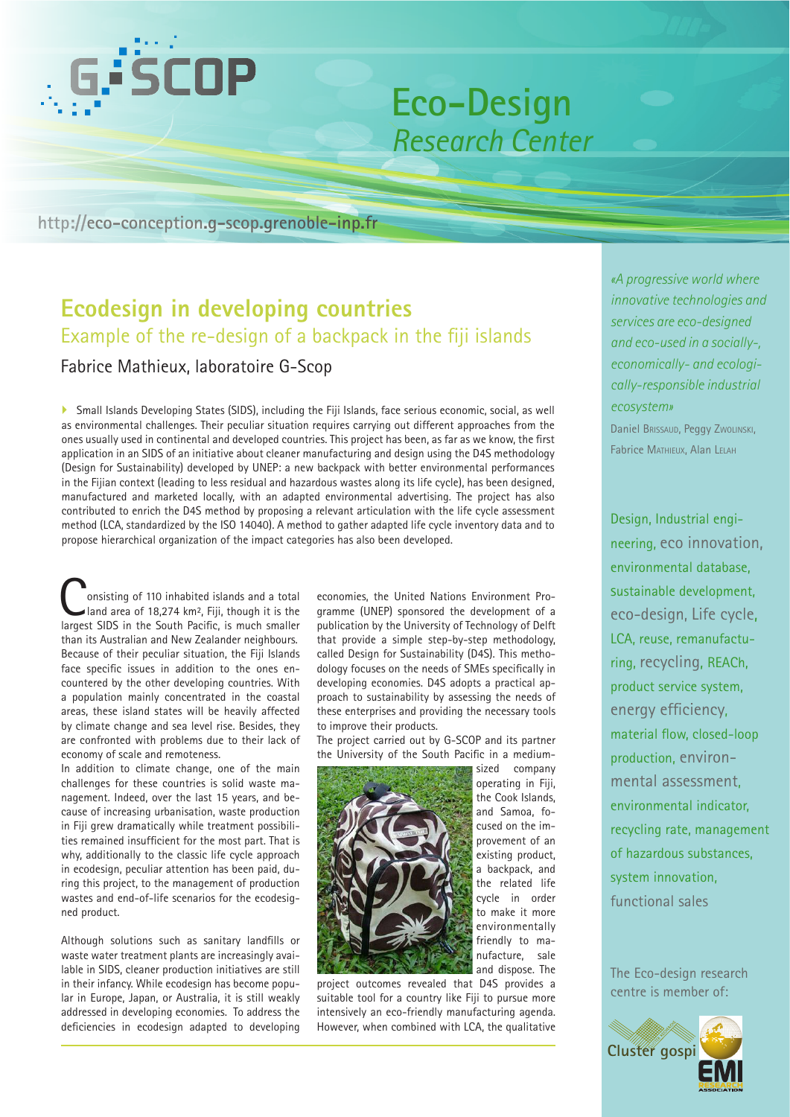

# **Eco-Design** *Research Center*

## **http://eco-conception.g-scop.grenoble-inp.fr**

# **Ecodesign in developing countries**  Example of the re-design of a backpack in the fiji islands

### Fabrice Mathieux, laboratoire G-Scop

` Small Islands Developing States (SIDS), including the Fiji Islands, face serious economic, social, as well as environmental challenges. Their peculiar situation requires carrying out different approaches from the ones usually used in continental and developed countries. This project has been, as far as we know, the first application in an SIDS of an initiative about cleaner manufacturing and design using the D4S methodology (Design for Sustainability) developed by UNEP: a new backpack with better environmental performances in the Fijian context (leading to less residual and hazardous wastes along its life cycle), has been designed, manufactured and marketed locally, with an adapted environmental advertising. The project has also contributed to enrich the D4S method by proposing a relevant articulation with the life cycle assessment method (LCA, standardized by the ISO 14040). A method to gather adapted life cycle inventory data and to propose hierarchical organization of the impact categories has also been developed.

**Consisting of 110 inhabited islands and a total land area of 18,274 km², Fiji, though it is the language of SIDS** in the South Pacific is much smaller largest SIDS in the South Pacific, is much smaller than its Australian and New Zealander neighbours. Because of their peculiar situation, the Fiji Islands face specific issues in addition to the ones encountered by the other developing countries. With a population mainly concentrated in the coastal areas, these island states will be heavily affected by climate change and sea level rise. Besides, they are confronted with problems due to their lack of economy of scale and remoteness.

In addition to climate change, one of the main challenges for these countries is solid waste management. Indeed, over the last 15 years, and because of increasing urbanisation, waste production in Fiji grew dramatically while treatment possibilities remained insufficient for the most part. That is why, additionally to the classic life cycle approach in ecodesign, peculiar attention has been paid, during this project, to the management of production wastes and end-of-life scenarios for the ecodesigned product.

Although solutions such as sanitary landfills or waste water treatment plants are increasingly available in SIDS, cleaner production initiatives are still in their infancy. While ecodesign has become popular in Europe, Japan, or Australia, it is still weakly addressed in developing economies. To address the deficiencies in ecodesign adapted to developing

economies, the United Nations Environment Programme (UNEP) sponsored the development of a publication by the University of Technology of Delft that provide a simple step-by-step methodology, called Design for Sustainability (D4S). This methodology focuses on the needs of SMEs specifically in developing economies. D4S adopts a practical approach to sustainability by assessing the needs of these enterprises and providing the necessary tools to improve their products.

The project carried out by G-SCOP and its partner the University of the South Pacific in a medium-



project outcomes revealed that D4S provides a suitable tool for a country like Fiji to pursue more intensively an eco-friendly manufacturing agenda. However, when combined with LCA, the qualitative

sized company operating in Fiji, the Cook Islands, and Samoa, focused on the improvement of an existing product, a backpack, and the related life cycle in order to make it more environmentally friendly to manufacture, sale and dispose. The *«A progressive world where innovative technologies and services are eco-designed and eco-used in a socially-, economically- and ecologically-responsible industrial ecosystem»* Daniel Brissaud, Peggy Zwolinski,

Fabrice Mathieux, Alan Lelah

Design, Industrial engineering, eco innovation, environmental database, sustainable development, eco-design, Life cycle, LCA, reuse, remanufacturing, recycling, REACh, product service system, energy efficiency, material flow, closed-loop production, environmental assessment, environmental indicator, recycling rate, management of hazardous substances, system innovation, functional sales

The Eco-design research centre is member of: